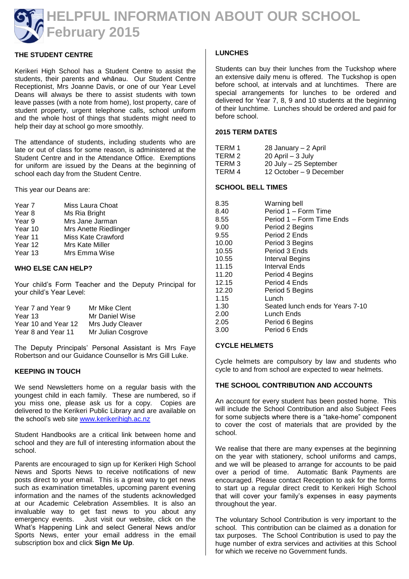

# **THE STUDENT CENTRE**

Kerikeri High School has a Student Centre to assist the students, their parents and whānau. Our Student Centre Receptionist, Mrs Joanne Davis, or one of our Year Level Deans will always be there to assist students with town leave passes (with a note from home), lost property, care of student property, urgent telephone calls, school uniform and the whole host of things that students might need to help their day at school go more smoothly.

The attendance of students, including students who are late or out of class for some reason, is administered at the Student Centre and in the Attendance Office. Exemptions for uniform are issued by the Deans at the beginning of school each day from the Student Centre.

This year our Deans are:

| Year 7  | Miss Laura Choat      |
|---------|-----------------------|
| Year 8  | Ms Ria Bright         |
| Year 9  | Mrs Jane Jarman       |
| Year 10 | Mrs Anette Riedlinger |
| Year 11 | Miss Kate Crawford    |
| Year 12 | Mrs Kate Miller       |
| Year 13 | Mrs Emma Wise         |
|         |                       |

#### **WHO ELSE CAN HELP?**

Your child's Form Teacher and the Deputy Principal for your child's Year Level:

| Year 7 and Year 9   | Mr Mike Clent      |
|---------------------|--------------------|
| Year 13             | Mr Daniel Wise     |
| Year 10 and Year 12 | Mrs Judy Cleaver   |
| Year 8 and Year 11  | Mr Julian Cosgrove |

The Deputy Principals' Personal Assistant is Mrs Faye Robertson and our Guidance Counsellor is Mrs Gill Luke.

#### **KEEPING IN TOUCH**

We send Newsletters home on a regular basis with the youngest child in each family. These are numbered, so if you miss one, please ask us for a copy. Copies are delivered to the Kerikeri Public Library and are available on the school's web site [www.kerikerihigh.ac.nz](http://www.kerikerihigh.ac.nz/)

Student Handbooks are a critical link between home and school and they are full of interesting information about the school.

Parents are encouraged to sign up for Kerikeri High School News and Sports News to receive notifications of new posts direct to your email. This is a great way to get news such as examination timetables, upcoming parent evening information and the names of the students acknowledged at our Academic Celebration Assemblies. It is also an invaluable way to get fast news to you about any emergency events. Just visit our website, click on the What's Happening Link and select General News and/or Sports News, enter your email address in the email subscription box and click **Sign Me Up**.

#### **LUNCHES**

Students can buy their lunches from the Tuckshop where an extensive daily menu is offered. The Tuckshop is open before school, at intervals and at lunchtimes. There are special arrangements for lunches to be ordered and delivered for Year 7, 8, 9 and 10 students at the beginning of their lunchtime. Lunches should be ordered and paid for before school.

# **2015 TERM DATES**

| TERM 1 | 28 January - 2 April    |
|--------|-------------------------|
| TERM 2 | 20 April - 3 July       |
| TERM 3 | 20 July - 25 September  |
| TERM 4 | 12 October – 9 December |
|        |                         |

#### **SCHOOL BELL TIMES**

| 8.35  | Warning bell                     |
|-------|----------------------------------|
| 8.40  | Period 1 – Form Time             |
| 8.55  | Period 1 – Form Time Ends        |
| 9.00  | Period 2 Begins                  |
| 9.55  | Period 2 Ends                    |
| 10.00 | Period 3 Begins                  |
| 10.55 | Period 3 Ends                    |
| 10.55 | Interval Begins                  |
| 11.15 | Interval Ends                    |
| 11.20 | Period 4 Begins                  |
| 12.15 | Period 4 Ends                    |
| 12.20 | Period 5 Begins                  |
| 1.15  | Lunch                            |
| 1.30  | Seated lunch ends for Years 7-10 |
| 2.00  | Lunch Ends                       |
| 2.05  | Period 6 Begins                  |
| 3.00  | Period 6 Ends                    |

#### **CYCLE HELMETS**

Cycle helmets are compulsory by law and students who cycle to and from school are expected to wear helmets.

### **THE SCHOOL CONTRIBUTION AND ACCOUNTS**

An account for every student has been posted home. This will include the School Contribution and also Subject Fees for some subjects where there is a "take-home" component to cover the cost of materials that are provided by the school.

We realise that there are many expenses at the beginning on the year with stationery, school uniforms and camps, and we will be pleased to arrange for accounts to be paid over a period of time. Automatic Bank Payments are encouraged. Please contact Reception to ask for the forms to start up a regular direct credit to Kerikeri High School that will cover your family's expenses in easy payments throughout the year.

The voluntary School Contribution is very important to the school. This contribution can be claimed as a donation for tax purposes. The School Contribution is used to pay the huge number of extra services and activities at this School for which we receive no Government funds.